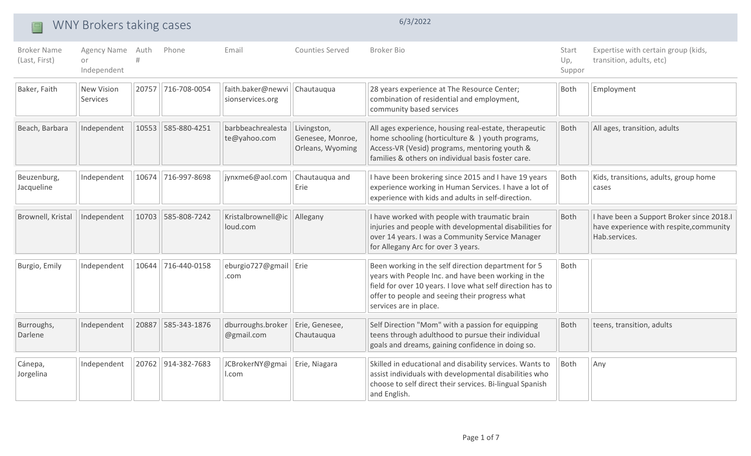|                                     | WNY Brokers taking cases              |       |              |                                       |                                                     |                                                                                                                                                                                                                                                      |                        |                                                                                                       |
|-------------------------------------|---------------------------------------|-------|--------------|---------------------------------------|-----------------------------------------------------|------------------------------------------------------------------------------------------------------------------------------------------------------------------------------------------------------------------------------------------------------|------------------------|-------------------------------------------------------------------------------------------------------|
| <b>Broker Name</b><br>(Last, First) | Agency Name Auth<br>or<br>Independent | #     | Phone        | Email                                 | <b>Counties Served</b>                              | <b>Broker Bio</b>                                                                                                                                                                                                                                    | Start<br>Up,<br>Suppor | Expertise with certain group (kids,<br>transition, adults, etc)                                       |
| Baker, Faith                        | <b>New Vision</b><br>Services         | 20757 | 716-708-0054 | faith.baker@newvi<br>sionservices.org | Chautauqua                                          | 28 years experience at The Resource Center;<br>combination of residential and employment,<br>community based services                                                                                                                                | Both                   | Employment                                                                                            |
| Beach, Barbara                      | Independent                           | 10553 | 585-880-4251 | barbbeachrealesta<br>te@yahoo.com     | Livingston,<br>Genesee, Monroe,<br>Orleans, Wyoming | All ages experience, housing real-estate, therapeutic<br>home schooling (horticulture & ) youth programs,<br>Access-VR (Vesid) programs, mentoring youth &<br>families & others on individual basis foster care.                                     | Both                   | All ages, transition, adults                                                                          |
| Beuzenburg,<br>Jacqueline           | Independent                           | 10674 | 716-997-8698 | jynxme6@aol.com                       | Chautauqua and<br>Erie                              | I have been brokering since 2015 and I have 19 years<br>experience working in Human Services. I have a lot of<br>experience with kids and adults in self-direction.                                                                                  | Both                   | Kids, transitions, adults, group home<br>cases                                                        |
| Brownell, Kristal                   | Independent                           | 10703 | 585-808-7242 | Kristalbrownell@ic<br>loud.com        | Allegany                                            | I have worked with people with traumatic brain<br>injuries and people with developmental disabilities for<br>over 14 years. I was a Community Service Manager<br>for Allegany Arc for over 3 years.                                                  | Both                   | I have been a Support Broker since 2018.I<br>have experience with respite, community<br>Hab.services. |
| Burgio, Emily                       | Independent                           | 10644 | 716-440-0158 | eburgio727@gmail   Erie<br>.com       |                                                     | Been working in the self direction department for 5<br>years with People Inc. and have been working in the<br>field for over 10 years. I love what self direction has to<br>offer to people and seeing their progress what<br>services are in place. | <b>Both</b>            |                                                                                                       |
| Burroughs,<br>Darlene               | Independent                           | 20887 | 585-343-1876 | dburroughs.broker<br>@gmail.com       | Erie, Genesee,<br>Chautauqua                        | Self Direction "Mom" with a passion for equipping<br>teens through adulthood to pursue their individual<br>goals and dreams, gaining confidence in doing so.                                                                                         | Both                   | teens, transition, adults                                                                             |
| Cánepa,<br>Jorgelina                | Independent                           | 20762 | 914-382-7683 | JCBrokerNY@gmai<br>l.com              | Erie, Niagara                                       | Skilled in educational and disability services. Wants to<br>assist individuals with developmental disabilities who<br>choose to self direct their services. Bi-lingual Spanish<br>and English.                                                       | Both                   | Any                                                                                                   |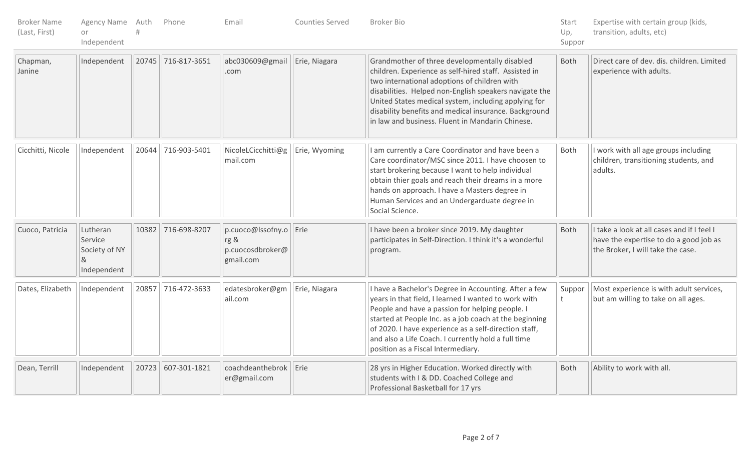| <b>Broker Name</b><br>(Last, First) | Agency Name Auth<br>or<br>Independent                    |       | Phone              | Email                                                               | Counties Served | Broker Bio                                                                                                                                                                                                                                                                                                                                                                            | Start<br>Up,<br>Suppor | Expertise with certain group (kids,<br>transition, adults, etc)                                                           |
|-------------------------------------|----------------------------------------------------------|-------|--------------------|---------------------------------------------------------------------|-----------------|---------------------------------------------------------------------------------------------------------------------------------------------------------------------------------------------------------------------------------------------------------------------------------------------------------------------------------------------------------------------------------------|------------------------|---------------------------------------------------------------------------------------------------------------------------|
| Chapman,<br>Janine                  | Independent                                              |       | 20745 716-817-3651 | abc030609@gmail<br>.com                                             | Erie, Niagara   | Grandmother of three developmentally disabled<br>children. Experience as self-hired staff. Assisted in<br>two international adoptions of children with<br>disabilities. Helped non-English speakers navigate the<br>United States medical system, including applying for<br>disability benefits and medical insurance. Background<br>in law and business. Fluent in Mandarin Chinese. | Both                   | Direct care of dev. dis. children. Limited<br>experience with adults.                                                     |
| Cicchitti, Nicole                   | Independent                                              |       | 20644 716-903-5401 | NicoleLCicchitti@g<br>mail.com                                      | Erie, Wyoming   | I am currently a Care Coordinator and have been a<br>Care coordinator/MSC since 2011. I have choosen to<br>start brokering because I want to help individual<br>obtain thier goals and reach their dreams in a more<br>hands on approach. I have a Masters degree in<br>Human Services and an Undergarduate degree in<br>Social Science.                                              | Both                   | I work with all age groups including<br>children, transitioning students, and<br>adults.                                  |
| Cuoco, Patricia                     | Lutheran<br>Service<br>Society of NY<br>&<br>Independent | 10382 | 716-698-8207       | $ p.cuoco@lssofny.o $ Erie<br>rg &<br>p.cuocosdbroker@<br>gmail.com |                 | I have been a broker since 2019. My daughter<br>participates in Self-Direction. I think it's a wonderful<br>program.                                                                                                                                                                                                                                                                  | Both                   | I take a look at all cases and if I feel I<br>have the expertise to do a good job as<br>the Broker, I will take the case. |
| Dates, Elizabeth                    | Independent                                              |       | 20857 716-472-3633 | edatesbroker@gm<br>ail.com                                          | Erie, Niagara   | I have a Bachelor's Degree in Accounting. After a few<br>years in that field, I learned I wanted to work with<br>People and have a passion for helping people. I<br>started at People Inc. as a job coach at the beginning<br>of 2020. I have experience as a self-direction staff,<br>and also a Life Coach. I currently hold a full time<br>position as a Fiscal Intermediary.      | Suppor<br>t            | Most experience is with adult services,<br>but am willing to take on all ages.                                            |
| Dean, Terrill                       | Independent                                              | 20723 | 607-301-1821       | coachdeanthebrok<br>er@gmail.com                                    | Erie            | 28 yrs in Higher Education. Worked directly with<br>students with I & DD. Coached College and<br>Professional Basketball for 17 yrs                                                                                                                                                                                                                                                   | Both                   | Ability to work with all.                                                                                                 |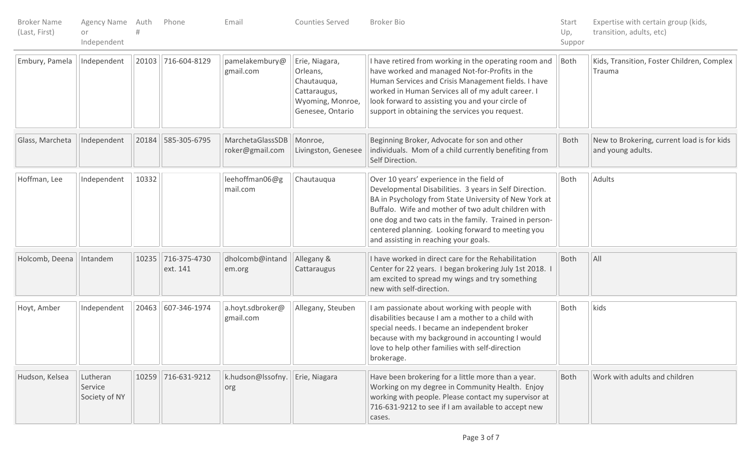| <b>Broker Name</b><br>(Last, First) | Agency Name Auth<br>or<br>Independent |       | Phone                    | Email                                    | Counties Served                                                                                   | Broker Bio                                                                                                                                                                                                                                                                                                                                                                  | Start<br>Up,<br>Suppor | Expertise with certain group (kids,<br>transition, adults, etc) |
|-------------------------------------|---------------------------------------|-------|--------------------------|------------------------------------------|---------------------------------------------------------------------------------------------------|-----------------------------------------------------------------------------------------------------------------------------------------------------------------------------------------------------------------------------------------------------------------------------------------------------------------------------------------------------------------------------|------------------------|-----------------------------------------------------------------|
| Embury, Pamela                      | Independent                           |       | 20103 716-604-8129       | pamelakembury@<br>gmail.com              | Erie, Niagara,<br>Orleans,<br>Chautauqua,<br>Cattaraugus,<br>Wyoming, Monroe,<br>Genesee, Ontario | I have retired from working in the operating room and<br>have worked and managed Not-for-Profits in the<br>Human Services and Crisis Management fields. I have<br>worked in Human Services all of my adult career. I<br>look forward to assisting you and your circle of<br>support in obtaining the services you request.                                                  | Both                   | Kids, Transition, Foster Children, Complex<br>Trauma            |
| Glass, Marcheta                     | Independent                           | 20184 | 585-305-6795             | MarchetaGlassSDB<br>roker@gmail.com      | Monroe,<br>Livingston, Genesee                                                                    | Beginning Broker, Advocate for son and other<br>individuals. Mom of a child currently benefiting from<br>Self Direction.                                                                                                                                                                                                                                                    | <b>Both</b>            | New to Brokering, current load is for kids<br>and young adults. |
| Hoffman, Lee                        | Independent                           | 10332 |                          | leehoffman06@g<br>mail.com               | Chautauqua                                                                                        | Over 10 years' experience in the field of<br>Developmental Disabilities. 3 years in Self Direction.<br>BA in Psychology from State University of New York at<br>Buffalo. Wife and mother of two adult children with<br>one dog and two cats in the family. Trained in person-<br>centered planning. Looking forward to meeting you<br>and assisting in reaching your goals. | Both                   | Adults                                                          |
| Holcomb, Deena                      | Intandem                              | 10235 | 716-375-4730<br>ext. 141 | dholcomb@intand<br>em.org                | Allegany &<br>Cattaraugus                                                                         | I have worked in direct care for the Rehabilitation<br>Center for 22 years. I began brokering July 1st 2018. I<br>am excited to spread my wings and try something<br>new with self-direction.                                                                                                                                                                               | Both                   | $\overline{A}$                                                  |
| Hoyt, Amber                         | Independent                           |       | 20463 607-346-1974       | a.hoyt.sdbroker@<br>gmail.com            | Allegany, Steuben                                                                                 | I am passionate about working with people with<br>disabilities because I am a mother to a child with<br>special needs. I became an independent broker<br>because with my background in accounting I would<br>love to help other families with self-direction<br>brokerage.                                                                                                  | Both                   | kids                                                            |
| Hudson, Kelsea                      | Lutheran<br>Service<br>Society of NY  |       | 10259 716-631-9212       | k.hudson@lssofny.   Erie, Niagara<br>org |                                                                                                   | Have been brokering for a little more than a year.<br>Working on my degree in Community Health. Enjoy<br>working with people. Please contact my supervisor at<br>716-631-9212 to see if I am available to accept new<br>cases.                                                                                                                                              | Both                   | Work with adults and children                                   |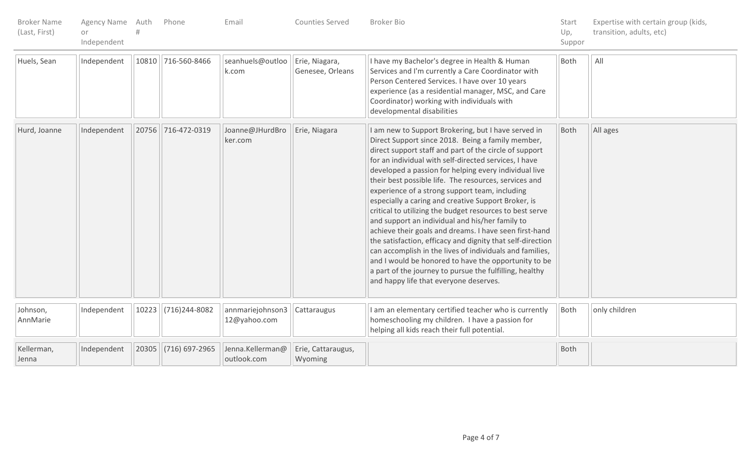| <b>Broker Name</b><br>(Last, First) | Agency Name Auth<br>or<br>Independent |       | Phone                | Email                            | Counties Served                    | <b>Broker Bio</b>                                                                                                                                                                                                                                                                                                                                                                                                                                                                                                                                                                                                                                                                                                                                                                                                                                                                                                      | Start<br>Up,<br>Suppor | Expertise with certain group (kids,<br>transition, adults, etc) |
|-------------------------------------|---------------------------------------|-------|----------------------|----------------------------------|------------------------------------|------------------------------------------------------------------------------------------------------------------------------------------------------------------------------------------------------------------------------------------------------------------------------------------------------------------------------------------------------------------------------------------------------------------------------------------------------------------------------------------------------------------------------------------------------------------------------------------------------------------------------------------------------------------------------------------------------------------------------------------------------------------------------------------------------------------------------------------------------------------------------------------------------------------------|------------------------|-----------------------------------------------------------------|
| Huels, Sean                         | Independent                           |       | 10810 716-560-8466   | seanhuels@outloo<br>k.com        | Erie, Niagara,<br>Genesee, Orleans | I have my Bachelor's degree in Health & Human<br>Services and I'm currently a Care Coordinator with<br>Person Centered Services. I have over 10 years<br>experience (as a residential manager, MSC, and Care<br>Coordinator) working with individuals with<br>developmental disabilities                                                                                                                                                                                                                                                                                                                                                                                                                                                                                                                                                                                                                               | Both                   | All                                                             |
| Hurd, Joanne                        | Independent                           |       | 20756 716-472-0319   | Joanne@JHurdBro<br>ker.com       | Erie, Niagara                      | I am new to Support Brokering, but I have served in<br>Direct Support since 2018. Being a family member,<br>direct support staff and part of the circle of support<br>for an individual with self-directed services, I have<br>developed a passion for helping every individual live<br>their best possible life. The resources, services and<br>experience of a strong support team, including<br>especially a caring and creative Support Broker, is<br>critical to utilizing the budget resources to best serve<br>and support an individual and his/her family to<br>achieve their goals and dreams. I have seen first-hand<br>the satisfaction, efficacy and dignity that self-direction<br>can accomplish in the lives of individuals and families,<br>and I would be honored to have the opportunity to be<br>a part of the journey to pursue the fulfilling, healthy<br>and happy life that everyone deserves. | Both                   | All ages                                                        |
| Johnson,<br>AnnMarie                | Independent                           | 10223 | (716) 244-8082       | annmariejohnson3<br>12@yahoo.com | Cattaraugus                        | I am an elementary certified teacher who is currently<br>homeschooling my children. I have a passion for<br>helping all kids reach their full potential.                                                                                                                                                                                                                                                                                                                                                                                                                                                                                                                                                                                                                                                                                                                                                               | Both                   | only children                                                   |
| Kellerman,<br>Jenna                 | Independent                           |       | 20305 (716) 697-2965 | Jenna.Kellerman@<br>outlook.com  | Erie, Cattaraugus,<br>Wyoming      |                                                                                                                                                                                                                                                                                                                                                                                                                                                                                                                                                                                                                                                                                                                                                                                                                                                                                                                        | Both                   |                                                                 |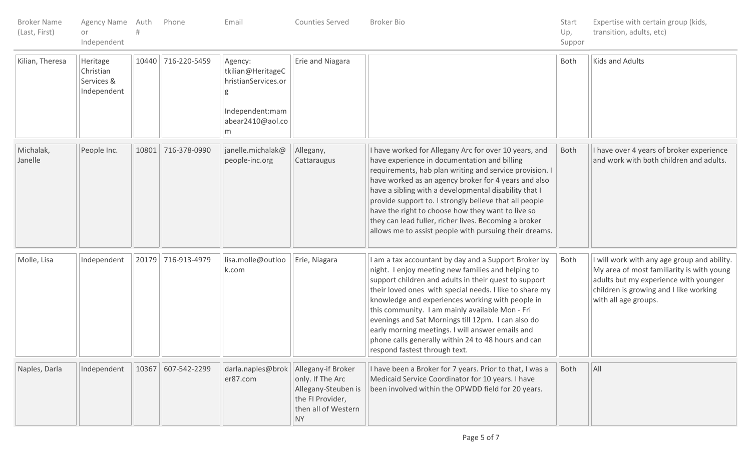| <b>Broker Name</b><br>(Last, First) | Agency Name Auth<br>or<br>Independent              |       | Phone              | Email                                                                                           | Counties Served                                                                                                       | <b>Broker Bio</b>                                                                                                                                                                                                                                                                                                                                                                                                                                                                                                                       | Start<br>Up,<br>Suppor | Expertise with certain group (kids,<br>transition, adults, etc)                                                                                                                                     |
|-------------------------------------|----------------------------------------------------|-------|--------------------|-------------------------------------------------------------------------------------------------|-----------------------------------------------------------------------------------------------------------------------|-----------------------------------------------------------------------------------------------------------------------------------------------------------------------------------------------------------------------------------------------------------------------------------------------------------------------------------------------------------------------------------------------------------------------------------------------------------------------------------------------------------------------------------------|------------------------|-----------------------------------------------------------------------------------------------------------------------------------------------------------------------------------------------------|
| Kilian, Theresa                     | Heritage<br>Christian<br>Services &<br>Independent |       | 10440 716-220-5459 | Agency:<br>tkilian@HeritageC<br>hristianServices.or<br>Independent:mam<br>abear2410@aol.co<br>m | Erie and Niagara                                                                                                      |                                                                                                                                                                                                                                                                                                                                                                                                                                                                                                                                         | Both                   | Kids and Adults                                                                                                                                                                                     |
| Michalak,<br>Janelle                | People Inc.                                        | 10801 | 716-378-0990       | janelle.michalak@<br>people-inc.org                                                             | Allegany,<br>Cattaraugus                                                                                              | I have worked for Allegany Arc for over 10 years, and<br>have experience in documentation and billing<br>requirements, hab plan writing and service provision. I<br>have worked as an agency broker for 4 years and also<br>have a sibling with a developmental disability that I<br>provide support to. I strongly believe that all people<br>have the right to choose how they want to live so<br>they can lead fuller, richer lives. Becoming a broker<br>allows me to assist people with pursuing their dreams.                     | Both                   | I have over 4 years of broker experience<br>and work with both children and adults.                                                                                                                 |
| Molle, Lisa                         | Independent                                        | 20179 | 716-913-4979       | lisa.molle@outloo<br>k.com                                                                      | Erie, Niagara                                                                                                         | I am a tax accountant by day and a Support Broker by<br>night. I enjoy meeting new families and helping to<br>support children and adults in their quest to support<br>their loved ones with special needs. I like to share my<br>knowledge and experiences working with people in<br>this community. I am mainly available Mon - Fri<br>evenings and Sat Mornings till 12pm. I can also do<br>early morning meetings. I will answer emails and<br>phone calls generally within 24 to 48 hours and can<br>respond fastest through text. | Both                   | I will work with any age group and ability.<br>My area of most familiarity is with young<br>adults but my experience with younger<br>children is growing and I like working<br>with all age groups. |
| Naples, Darla                       | Independent                                        | 10367 | 607-542-2299       | darla.naples@brok<br>er87.com                                                                   | Allegany-if Broker<br>only. If The Arc<br>Allegany-Steuben is<br>the FI Provider,<br>then all of Western<br><b>NY</b> | I have been a Broker for 7 years. Prior to that, I was a<br>Medicaid Service Coordinator for 10 years. I have<br>been involved within the OPWDD field for 20 years.                                                                                                                                                                                                                                                                                                                                                                     | Both                   | All                                                                                                                                                                                                 |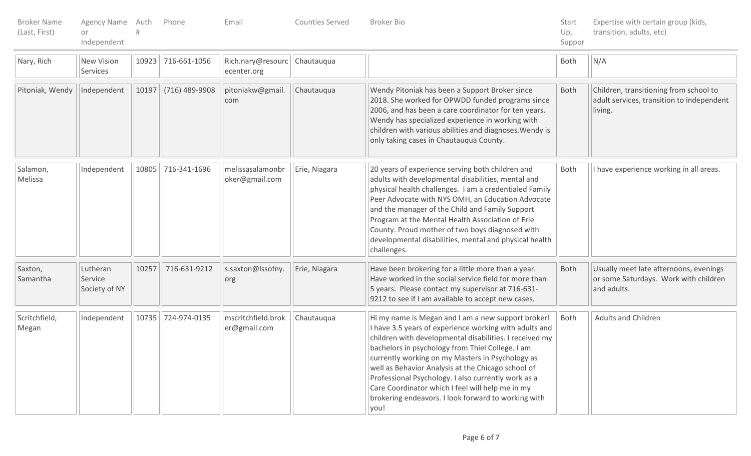| <b>Broker Name</b><br>(Last, First) | Agency Name Auth<br>or<br>Independent |       | Phone              | Email                              | Counties Served | <b>Broker Bio</b>                                                                                                                                                                                                                                                                                                                                                                                                                                                                                               | Start<br>Up,<br>Suppor | Expertise with certain group (kids,<br>transition, adults, etc)                                |
|-------------------------------------|---------------------------------------|-------|--------------------|------------------------------------|-----------------|-----------------------------------------------------------------------------------------------------------------------------------------------------------------------------------------------------------------------------------------------------------------------------------------------------------------------------------------------------------------------------------------------------------------------------------------------------------------------------------------------------------------|------------------------|------------------------------------------------------------------------------------------------|
| Nary, Rich                          | <b>New Vision</b><br>Services         | 10923 | 716-661-1056       | Rich.nary@resourc<br>ecenter.org   | Chautauqua      |                                                                                                                                                                                                                                                                                                                                                                                                                                                                                                                 | Both                   | N/A                                                                                            |
| Pitoniak, Wendy                     | Independent                           | 10197 | (716) 489-9908     | pitoniakw@gmail.<br>com            | Chautauqua      | Wendy Pitoniak has been a Support Broker since<br>2018. She worked for OPWDD funded programs since<br>2006, and has been a care coordinator for ten years.<br>Wendy has specialized experience in working with<br>children with various abilities and diagnoses. Wendy is<br>only taking cases in Chautauqua County.                                                                                                                                                                                            | Both                   | Children, transitioning from school to<br>adult services, transition to independent<br>living. |
| Salamon,<br>Melissa                 | Independent                           | 10805 | 716-341-1696       | melissasalamonbr<br>oker@gmail.com | Erie, Niagara   | 20 years of experience serving both children and<br>adults with developmental disabilities, mental and<br>physical health challenges. I am a credentialed Family<br>Peer Advocate with NYS OMH, an Education Advocate<br>and the manager of the Child and Family Support<br>Program at the Mental Health Association of Erie<br>County. Proud mother of two boys diagnosed with<br>developmental disabilities, mental and physical health<br>challenges.                                                        | Both                   | I have experience working in all areas.                                                        |
| Saxton,<br>Samantha                 | Lutheran<br>Service<br>Society of NY  | 10257 | 716-631-9212       | s.saxton@lssofny.<br>org           | Erie, Niagara   | Have been brokering for a little more than a year.<br>Have worked in the social service field for more than<br>5 years. Please contact my supervisor at 716-631-<br>9212 to see if I am available to accept new cases.                                                                                                                                                                                                                                                                                          | Both                   | Usually meet late afternoons, evenings<br>or some Saturdays. Work with children<br>and adults. |
| Scritchfield,<br>Megan              | Independent                           |       | 10735 724-974-0135 | mscritchfield.brok<br>er@gmail.com | Chautauqua      | Hi my name is Megan and I am a new support broker!<br>I have 3.5 years of experience working with adults and<br>children with developmental disabilities. I received my<br>bachelors in psychology from Thiel College. I am<br>currently working on my Masters in Psychology as<br>well as Behavior Analysis at the Chicago school of<br>Professional Psychology. I also currently work as a<br>Care Coordinator which I feel will help me in my<br>brokering endeavors. I look forward to working with<br>you! | Both                   | <b>Adults and Children</b>                                                                     |